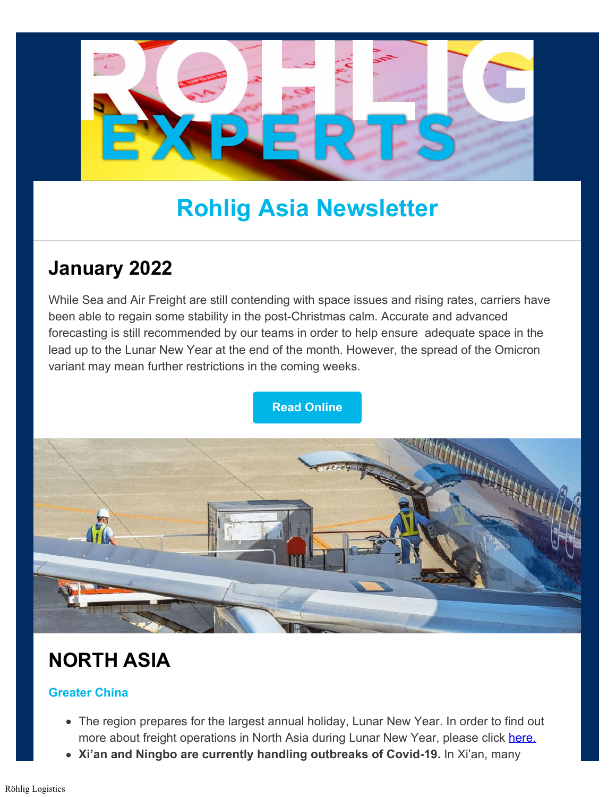

# **Rohlig Asia Newsletter**

### **January 2022**

While Sea and Air Freight are still contending with space issues and rising rates, carriers have been able to regain some stability in the post-Christmas calm. Accurate and advanced forecasting is still recommended by our teams in order to help ensure adequate space in the lead up to the Lunar New Year at the end of the month. However, the spread of the Omicron variant may mean further restrictions in the coming weeks.

### **[Read Online](https://www.rohlig.com/about-us/news-press/january-2022-roehlig-asia-logistics-newsletter)**



## **NORTH ASIA**

### **Greater China**

- The region prepares for the largest annual holiday, Lunar New Year. In order to find out more about freight operations in North Asia during Lunar New Year, please click [here.](https://www.rohlig.com/about-us/news-press/lunar-new-year-2022-logistics-operations-in-north-asia)
- **Xi'an and Ningbo are currently handling outbreaks of Covid-19.** In Xi'an, many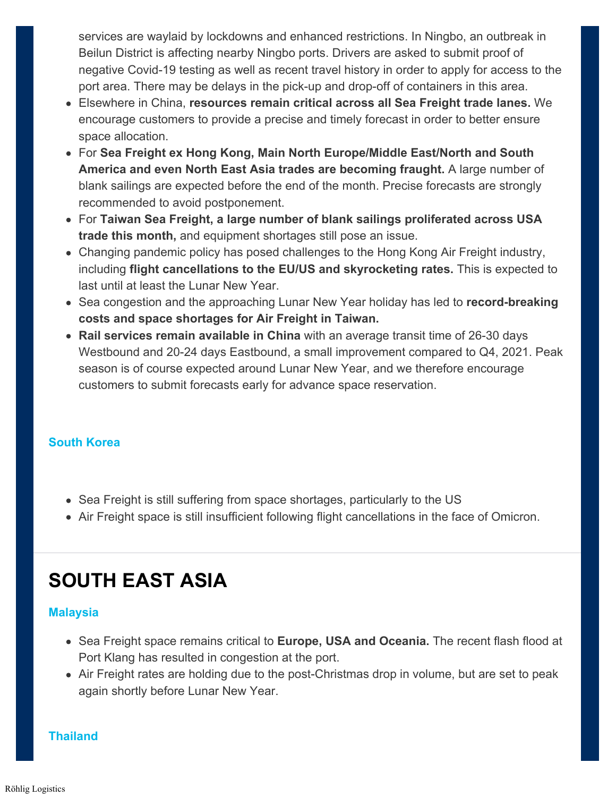services are waylaid by lockdowns and enhanced restrictions. In Ningbo, an outbreak in Beilun District is affecting nearby Ningbo ports. Drivers are asked to submit proof of negative Covid-19 testing as well as recent travel history in order to apply for access to the port area. There may be delays in the pick-up and drop-off of containers in this area.

- Elsewhere in China, **resources remain critical across all Sea Freight trade lanes.** We encourage customers to provide a precise and timely forecast in order to better ensure space allocation.
- For **Sea Freight ex Hong Kong, Main North Europe/Middle East/North and South America and even North East Asia trades are becoming fraught.** A large number of blank sailings are expected before the end of the month. Precise forecasts are strongly recommended to avoid postponement.
- For **Taiwan Sea Freight, a large number of blank sailings proliferated across USA trade this month,** and equipment shortages still pose an issue.
- Changing pandemic policy has posed challenges to the Hong Kong Air Freight industry, including **flight cancellations to the EU/US and skyrocketing rates.** This is expected to last until at least the Lunar New Year.
- Sea congestion and the approaching Lunar New Year holiday has led to **record-breaking costs and space shortages for Air Freight in Taiwan.**
- **Rail services remain available in China** with an average transit time of 26-30 days Westbound and 20-24 days Eastbound, a small improvement compared to Q4, 2021. Peak season is of course expected around Lunar New Year, and we therefore encourage customers to submit forecasts early for advance space reservation.

### **South Korea**

- Sea Freight is still suffering from space shortages, particularly to the US
- Air Freight space is still insufficient following flight cancellations in the face of Omicron.

### **SOUTH EAST ASIA**

#### **Malaysia**

- Sea Freight space remains critical to **Europe, USA and Oceania.** The recent flash flood at Port Klang has resulted in congestion at the port.
- Air Freight rates are holding due to the post-Christmas drop in volume, but are set to peak again shortly before Lunar New Year.

**Thailand**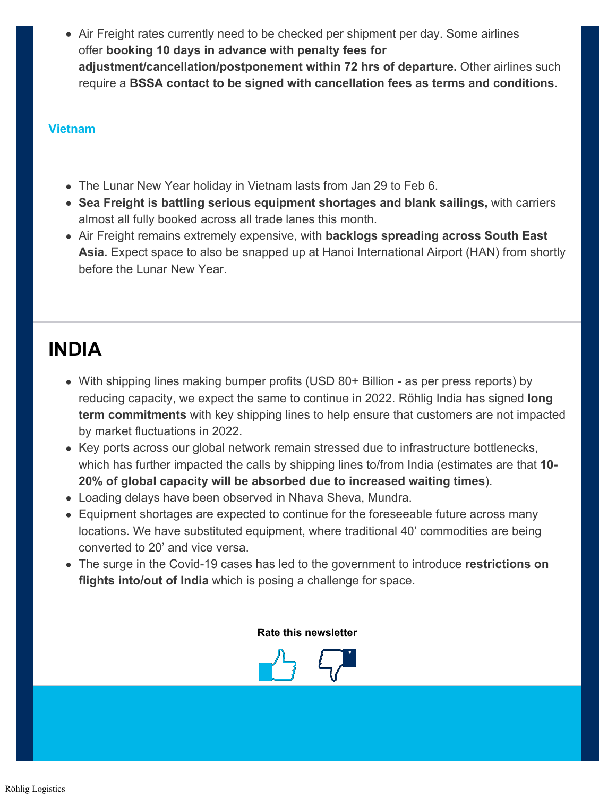Air Freight rates currently need to be checked per shipment per day. Some airlines offer **booking 10 days in advance with penalty fees for adjustment/cancellation/postponement within 72 hrs of departure.** Other airlines such require a **BSSA contact to be signed with cancellation fees as terms and conditions.**

#### **Vietnam**

- The Lunar New Year holiday in Vietnam lasts from Jan 29 to Feb 6.
- **Sea Freight is battling serious equipment shortages and blank sailings,** with carriers almost all fully booked across all trade lanes this month.
- Air Freight remains extremely expensive, with **backlogs spreading across South East Asia.** Expect space to also be snapped up at Hanoi International Airport (HAN) from shortly before the Lunar New Year.

### **INDIA**

- With shipping lines making bumper profits (USD 80+ Billion as per press reports) by reducing capacity, we expect the same to continue in 2022. Röhlig India has signed **long term commitments** with key shipping lines to help ensure that customers are not impacted by market fluctuations in 2022.
- Key ports across our global network remain stressed due to infrastructure bottlenecks, which has further impacted the calls by shipping lines to/from India (estimates are that **10- 20% of global capacity will be absorbed due to increased waiting times**).
- Loading delays have been observed in Nhava Sheva, Mundra.
- Equipment shortages are expected to continue for the foreseeable future across many locations. We have substituted equipment, where traditional 40' commodities are being converted to 20' and vice versa.
- The surge in the Covid-19 cases has led to the government to introduce **restrictions on flights into/out of India** which is posing a challenge for space.

#### **Rate this newsletter**